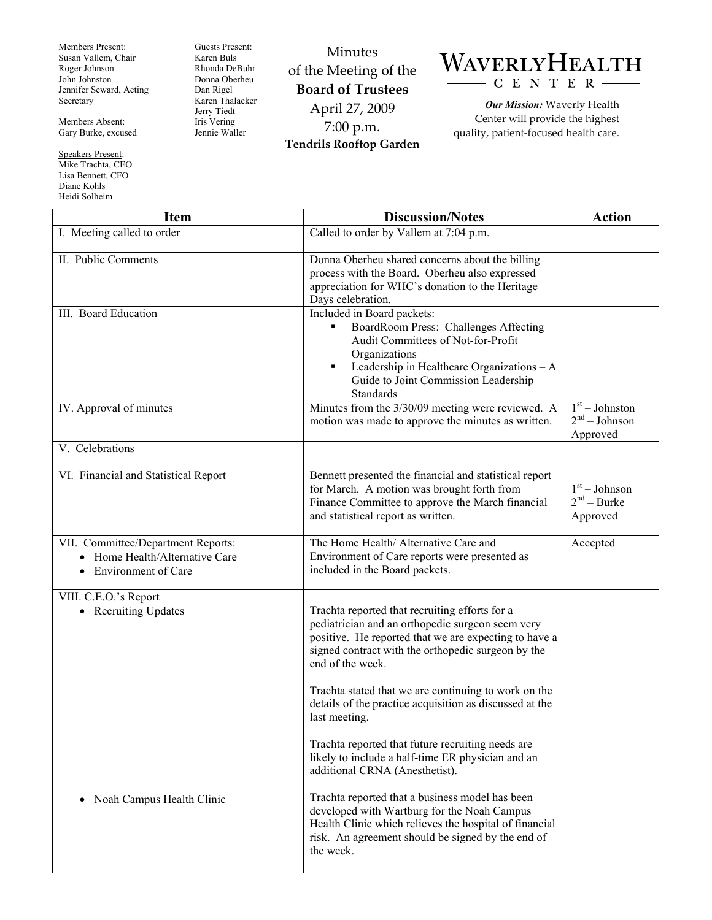Members Present: Susan Vallem, Chair Roger Johnson John Johnston Jennifer Seward, Acting Secretary

Members Absent: Gary Burke, excused

Speakers Present: Mike Trachta, CEO Lisa Bennett, CFO Diane Kohls Heidi Solheim

Guests Present: Karen Buls Rhonda DeBuhr Donna Oberheu Dan Rigel Karen Thalacker Jerry Tiedt Iris Vering Jennie Waller

Minutes of the Meeting of the **Board of Trustees**  April 27, 2009 7:00 p.m. **Tendrils Rooftop Garden** 



*Our Mission:* Waverly Health Center will provide the highest quality, patient-focused health care.

| <b>Item</b>                                                                                                   | <b>Discussion/Notes</b>                                                                                                                                                                                                                   | <b>Action</b>                                   |
|---------------------------------------------------------------------------------------------------------------|-------------------------------------------------------------------------------------------------------------------------------------------------------------------------------------------------------------------------------------------|-------------------------------------------------|
| I. Meeting called to order                                                                                    | Called to order by Vallem at 7:04 p.m.                                                                                                                                                                                                    |                                                 |
| II. Public Comments                                                                                           | Donna Oberheu shared concerns about the billing<br>process with the Board. Oberheu also expressed<br>appreciation for WHC's donation to the Heritage<br>Days celebration.                                                                 |                                                 |
| III. Board Education                                                                                          | Included in Board packets:<br>BoardRoom Press: Challenges Affecting<br>Audit Committees of Not-for-Profit<br>Organizations<br>Leadership in Healthcare Organizations - A<br>٠<br>Guide to Joint Commission Leadership<br><b>Standards</b> |                                                 |
| IV. Approval of minutes                                                                                       | Minutes from the 3/30/09 meeting were reviewed. A<br>motion was made to approve the minutes as written.                                                                                                                                   | $1st - Johnston$<br>$2nd - Johnson$<br>Approved |
| V. Celebrations                                                                                               |                                                                                                                                                                                                                                           |                                                 |
| VI. Financial and Statistical Report                                                                          | Bennett presented the financial and statistical report<br>for March. A motion was brought forth from<br>Finance Committee to approve the March financial<br>and statistical report as written.                                            | $1st - Johnson$<br>$2nd - Burke$<br>Approved    |
| VII. Committee/Department Reports:<br>Home Health/Alternative Care<br><b>Environment of Care</b><br>$\bullet$ | The Home Health/ Alternative Care and<br>Environment of Care reports were presented as<br>included in the Board packets.                                                                                                                  | Accepted                                        |
| VIII. C.E.O.'s Report<br>• Recruiting Updates                                                                 | Trachta reported that recruiting efforts for a<br>pediatrician and an orthopedic surgeon seem very<br>positive. He reported that we are expecting to have a<br>signed contract with the orthopedic surgeon by the<br>end of the week.     |                                                 |
|                                                                                                               | Trachta stated that we are continuing to work on the<br>details of the practice acquisition as discussed at the<br>last meeting.                                                                                                          |                                                 |
|                                                                                                               | Trachta reported that future recruiting needs are<br>likely to include a half-time ER physician and an<br>additional CRNA (Anesthetist).                                                                                                  |                                                 |
| Noah Campus Health Clinic<br>٠                                                                                | Trachta reported that a business model has been<br>developed with Wartburg for the Noah Campus<br>Health Clinic which relieves the hospital of financial<br>risk. An agreement should be signed by the end of<br>the week.                |                                                 |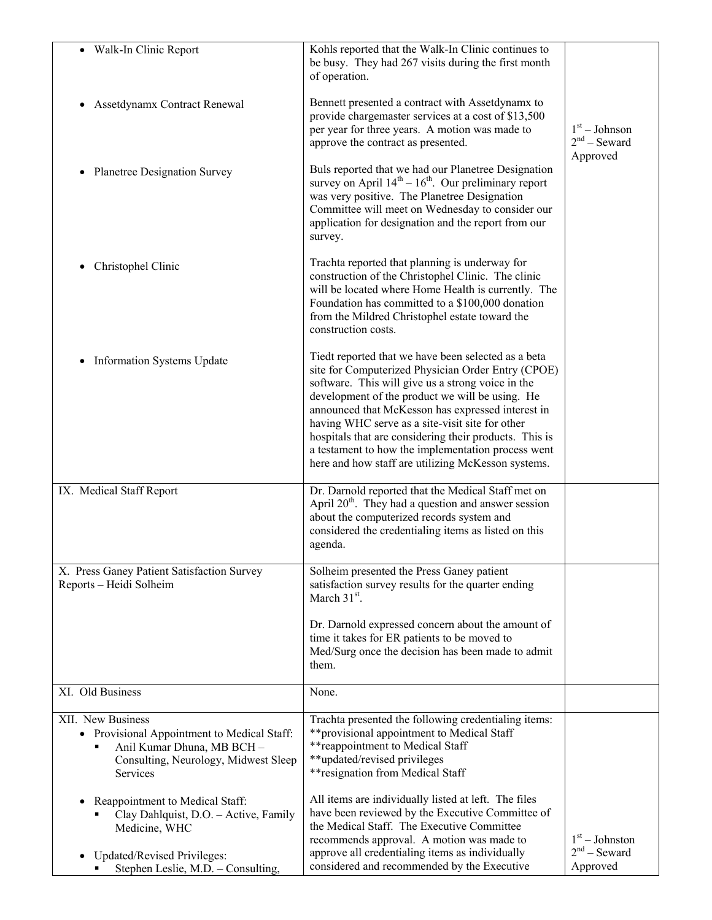| • Walk-In Clinic Report                                                                                                                                               | Kohls reported that the Walk-In Clinic continues to<br>be busy. They had 267 visits during the first month<br>of operation.                                                                                                                                                                                                                                                                                                                                                                     |                                                |
|-----------------------------------------------------------------------------------------------------------------------------------------------------------------------|-------------------------------------------------------------------------------------------------------------------------------------------------------------------------------------------------------------------------------------------------------------------------------------------------------------------------------------------------------------------------------------------------------------------------------------------------------------------------------------------------|------------------------------------------------|
| Assetdynamx Contract Renewal<br>٠                                                                                                                                     | Bennett presented a contract with Assetdynamx to<br>provide chargemaster services at a cost of \$13,500<br>per year for three years. A motion was made to<br>approve the contract as presented.                                                                                                                                                                                                                                                                                                 | $1st - Johnson$<br>$2nd$ – Seward<br>Approved  |
| <b>Planetree Designation Survey</b>                                                                                                                                   | Buls reported that we had our Planetree Designation<br>survey on April $14^{th} - 16^{th}$ . Our preliminary report<br>was very positive. The Planetree Designation<br>Committee will meet on Wednesday to consider our<br>application for designation and the report from our<br>survey.                                                                                                                                                                                                       |                                                |
| Christophel Clinic                                                                                                                                                    | Trachta reported that planning is underway for<br>construction of the Christophel Clinic. The clinic<br>will be located where Home Health is currently. The<br>Foundation has committed to a \$100,000 donation<br>from the Mildred Christophel estate toward the<br>construction costs.                                                                                                                                                                                                        |                                                |
| <b>Information Systems Update</b><br>$\bullet$                                                                                                                        | Tiedt reported that we have been selected as a beta<br>site for Computerized Physician Order Entry (CPOE)<br>software. This will give us a strong voice in the<br>development of the product we will be using. He<br>announced that McKesson has expressed interest in<br>having WHC serve as a site-visit site for other<br>hospitals that are considering their products. This is<br>a testament to how the implementation process went<br>here and how staff are utilizing McKesson systems. |                                                |
| IX. Medical Staff Report                                                                                                                                              | Dr. Darnold reported that the Medical Staff met on<br>April $20th$ . They had a question and answer session<br>about the computerized records system and<br>considered the credentialing items as listed on this<br>agenda.                                                                                                                                                                                                                                                                     |                                                |
| X. Press Ganey Patient Satisfaction Survey<br>Reports - Heidi Solheim                                                                                                 | Solheim presented the Press Ganey patient<br>satisfaction survey results for the quarter ending<br>March $31st$ .<br>Dr. Darnold expressed concern about the amount of<br>time it takes for ER patients to be moved to<br>Med/Surg once the decision has been made to admit<br>them.                                                                                                                                                                                                            |                                                |
| XI. Old Business                                                                                                                                                      | None.                                                                                                                                                                                                                                                                                                                                                                                                                                                                                           |                                                |
| XII. New Business<br>• Provisional Appointment to Medical Staff:<br>Anil Kumar Dhuna, MB BCH -<br>Consulting, Neurology, Midwest Sleep<br>Services                    | Trachta presented the following credentialing items:<br>**provisional appointment to Medical Staff<br>** reappointment to Medical Staff<br>**updated/revised privileges<br>** resignation from Medical Staff                                                                                                                                                                                                                                                                                    |                                                |
| Reappointment to Medical Staff:<br>Clay Dahlquist, D.O. - Active, Family<br>Medicine, WHC<br><b>Updated/Revised Privileges:</b><br>Stephen Leslie, M.D. - Consulting, | All items are individually listed at left. The files<br>have been reviewed by the Executive Committee of<br>the Medical Staff. The Executive Committee<br>recommends approval. A motion was made to<br>approve all credentialing items as individually<br>considered and recommended by the Executive                                                                                                                                                                                           | $1st - Johnston$<br>$2nd$ – Seward<br>Approved |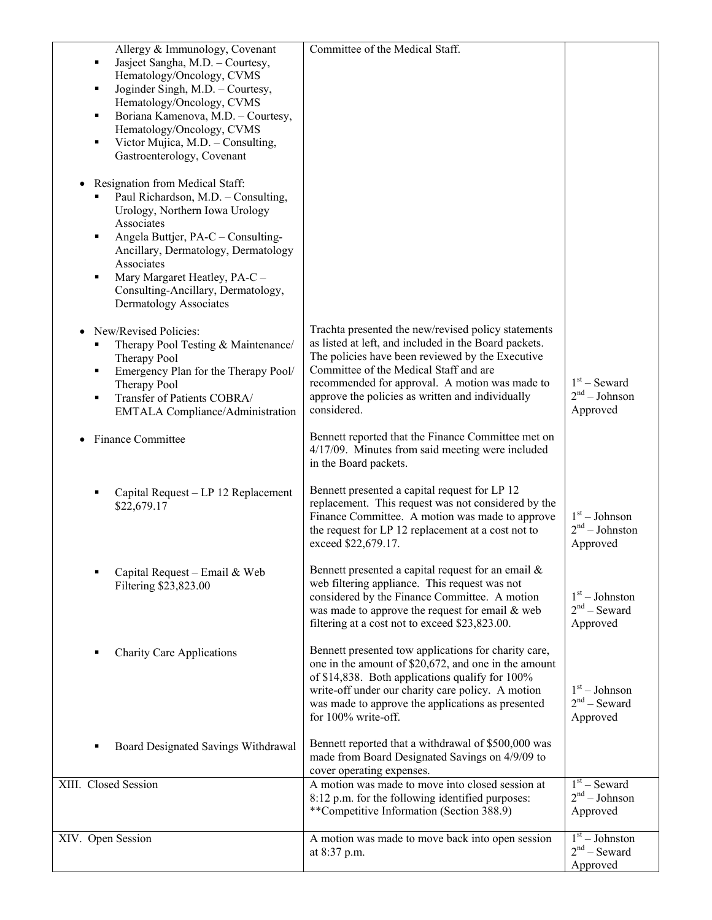| Allergy & Immunology, Covenant                                       | Committee of the Medical Staff.                                                                         |                                    |
|----------------------------------------------------------------------|---------------------------------------------------------------------------------------------------------|------------------------------------|
| Jasjeet Sangha, M.D. - Courtesy,<br>٠                                |                                                                                                         |                                    |
| Hematology/Oncology, CVMS                                            |                                                                                                         |                                    |
| Joginder Singh, M.D. - Courtesy,<br>٠                                |                                                                                                         |                                    |
| Hematology/Oncology, CVMS<br>Boriana Kamenova, M.D. - Courtesy,<br>٠ |                                                                                                         |                                    |
| Hematology/Oncology, CVMS                                            |                                                                                                         |                                    |
| Victor Mujica, M.D. - Consulting,<br>٠                               |                                                                                                         |                                    |
| Gastroenterology, Covenant                                           |                                                                                                         |                                    |
|                                                                      |                                                                                                         |                                    |
| Resignation from Medical Staff:<br>$\bullet$                         |                                                                                                         |                                    |
| Paul Richardson, M.D. - Consulting,                                  |                                                                                                         |                                    |
| Urology, Northern Iowa Urology                                       |                                                                                                         |                                    |
| Associates                                                           |                                                                                                         |                                    |
| Angela Buttjer, PA-C – Consulting-<br>٠                              |                                                                                                         |                                    |
| Ancillary, Dermatology, Dermatology                                  |                                                                                                         |                                    |
| Associates                                                           |                                                                                                         |                                    |
| Mary Margaret Heatley, PA-C -<br>٠                                   |                                                                                                         |                                    |
| Consulting-Ancillary, Dermatology,                                   |                                                                                                         |                                    |
| Dermatology Associates                                               |                                                                                                         |                                    |
| New/Revised Policies:                                                | Trachta presented the new/revised policy statements                                                     |                                    |
| Therapy Pool Testing & Maintenance/<br>٠                             | as listed at left, and included in the Board packets.                                                   |                                    |
| Therapy Pool                                                         | The policies have been reviewed by the Executive                                                        |                                    |
| Emergency Plan for the Therapy Pool/<br>٠                            | Committee of the Medical Staff and are                                                                  |                                    |
| Therapy Pool                                                         | recommended for approval. A motion was made to                                                          | $1st$ – Seward                     |
| Transfer of Patients COBRA/<br>٠                                     | approve the policies as written and individually                                                        | $2nd - Johnson$                    |
| <b>EMTALA Compliance/Administration</b>                              | considered.                                                                                             | Approved                           |
|                                                                      | Bennett reported that the Finance Committee met on                                                      |                                    |
| Finance Committee                                                    | 4/17/09. Minutes from said meeting were included                                                        |                                    |
|                                                                      | in the Board packets.                                                                                   |                                    |
|                                                                      |                                                                                                         |                                    |
| Capital Request - LP 12 Replacement<br>в                             | Bennett presented a capital request for LP 12                                                           |                                    |
| \$22,679.17                                                          | replacement. This request was not considered by the                                                     |                                    |
|                                                                      | Finance Committee. A motion was made to approve                                                         | $1st - Johnson$<br>$2nd - Johnson$ |
|                                                                      | the request for LP 12 replacement at a cost not to<br>exceed \$22,679.17.                               | Approved                           |
|                                                                      |                                                                                                         |                                    |
| Capital Request - Email & Web<br>п                                   | Bennett presented a capital request for an email $\&$                                                   |                                    |
| Filtering \$23,823.00                                                | web filtering appliance. This request was not                                                           |                                    |
|                                                                      | considered by the Finance Committee. A motion                                                           | $1st - Johnston$                   |
|                                                                      | was made to approve the request for email & web                                                         | $2nd$ – Seward                     |
|                                                                      | filtering at a cost not to exceed \$23,823.00.                                                          | Approved                           |
|                                                                      |                                                                                                         |                                    |
| <b>Charity Care Applications</b><br>в                                | Bennett presented tow applications for charity care,                                                    |                                    |
|                                                                      | one in the amount of \$20,672, and one in the amount<br>of \$14,838. Both applications qualify for 100% |                                    |
|                                                                      | write-off under our charity care policy. A motion                                                       | $1st - Johnson$                    |
|                                                                      | was made to approve the applications as presented                                                       | $2nd$ – Seward                     |
|                                                                      | for 100% write-off.                                                                                     | Approved                           |
|                                                                      |                                                                                                         |                                    |
| Board Designated Savings Withdrawal                                  | Bennett reported that a withdrawal of \$500,000 was                                                     |                                    |
|                                                                      | made from Board Designated Savings on 4/9/09 to                                                         |                                    |
|                                                                      | cover operating expenses.                                                                               |                                    |
| XIII. Closed Session                                                 | A motion was made to move into closed session at                                                        | $1st$ – Seward<br>$2nd - Johnson$  |
|                                                                      | 8:12 p.m. for the following identified purposes:                                                        |                                    |
|                                                                      | **Competitive Information (Section 388.9)                                                               | Approved                           |
| XIV. Open Session                                                    | A motion was made to move back into open session                                                        | $1st - Johnston$                   |
|                                                                      | at 8:37 p.m.                                                                                            | $2nd$ – Seward                     |
|                                                                      |                                                                                                         | Approved                           |